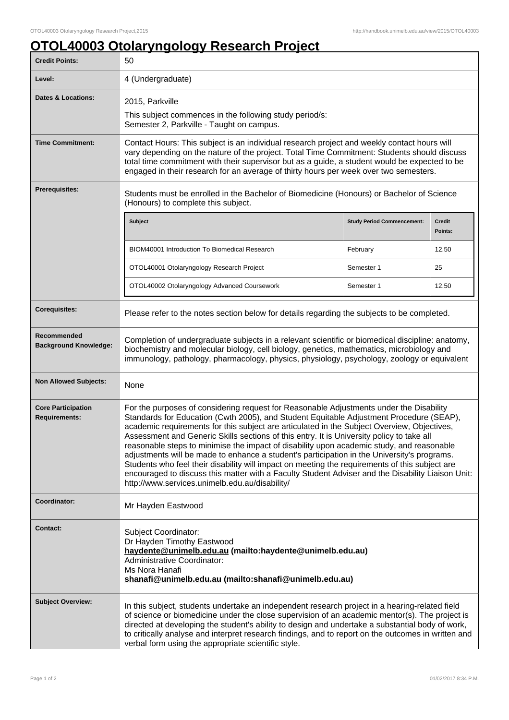## **OTOL40003 Otolaryngology Research Project**

| <b>Credit Points:</b>                             | 50                                                                                                                                                                                                                                                                                                                                                                                                                                                                                                                                                                                                                                                                                                                                                                                                                                  |                                   |                   |
|---------------------------------------------------|-------------------------------------------------------------------------------------------------------------------------------------------------------------------------------------------------------------------------------------------------------------------------------------------------------------------------------------------------------------------------------------------------------------------------------------------------------------------------------------------------------------------------------------------------------------------------------------------------------------------------------------------------------------------------------------------------------------------------------------------------------------------------------------------------------------------------------------|-----------------------------------|-------------------|
| Level:                                            | 4 (Undergraduate)                                                                                                                                                                                                                                                                                                                                                                                                                                                                                                                                                                                                                                                                                                                                                                                                                   |                                   |                   |
| <b>Dates &amp; Locations:</b>                     | 2015, Parkville<br>This subject commences in the following study period/s:<br>Semester 2, Parkville - Taught on campus.                                                                                                                                                                                                                                                                                                                                                                                                                                                                                                                                                                                                                                                                                                             |                                   |                   |
| <b>Time Commitment:</b>                           | Contact Hours: This subject is an individual research project and weekly contact hours will<br>vary depending on the nature of the project. Total Time Commitment: Students should discuss<br>total time commitment with their supervisor but as a guide, a student would be expected to be<br>engaged in their research for an average of thirty hours per week over two semesters.                                                                                                                                                                                                                                                                                                                                                                                                                                                |                                   |                   |
| <b>Prerequisites:</b>                             | Students must be enrolled in the Bachelor of Biomedicine (Honours) or Bachelor of Science<br>(Honours) to complete this subject.                                                                                                                                                                                                                                                                                                                                                                                                                                                                                                                                                                                                                                                                                                    |                                   |                   |
|                                                   | <b>Subject</b>                                                                                                                                                                                                                                                                                                                                                                                                                                                                                                                                                                                                                                                                                                                                                                                                                      | <b>Study Period Commencement:</b> | Credit<br>Points: |
|                                                   | BIOM40001 Introduction To Biomedical Research                                                                                                                                                                                                                                                                                                                                                                                                                                                                                                                                                                                                                                                                                                                                                                                       | February                          | 12.50             |
|                                                   | OTOL40001 Otolaryngology Research Project                                                                                                                                                                                                                                                                                                                                                                                                                                                                                                                                                                                                                                                                                                                                                                                           | Semester 1                        | 25                |
|                                                   | OTOL40002 Otolaryngology Advanced Coursework                                                                                                                                                                                                                                                                                                                                                                                                                                                                                                                                                                                                                                                                                                                                                                                        | Semester 1                        | 12.50             |
| <b>Corequisites:</b>                              | Please refer to the notes section below for details regarding the subjects to be completed.                                                                                                                                                                                                                                                                                                                                                                                                                                                                                                                                                                                                                                                                                                                                         |                                   |                   |
| Recommended<br><b>Background Knowledge:</b>       | Completion of undergraduate subjects in a relevant scientific or biomedical discipline: anatomy,<br>biochemistry and molecular biology, cell biology, genetics, mathematics, microbiology and<br>immunology, pathology, pharmacology, physics, physiology, psychology, zoology or equivalent                                                                                                                                                                                                                                                                                                                                                                                                                                                                                                                                        |                                   |                   |
| <b>Non Allowed Subjects:</b>                      | None                                                                                                                                                                                                                                                                                                                                                                                                                                                                                                                                                                                                                                                                                                                                                                                                                                |                                   |                   |
| <b>Core Participation</b><br><b>Requirements:</b> | For the purposes of considering request for Reasonable Adjustments under the Disability<br>Standards for Education (Cwth 2005), and Student Equitable Adjustment Procedure (SEAP),<br>academic requirements for this subject are articulated in the Subject Overview, Objectives,<br>Assessment and Generic Skills sections of this entry. It is University policy to take all<br>reasonable steps to minimise the impact of disability upon academic study, and reasonable<br>adjustments will be made to enhance a student's participation in the University's programs.<br>Students who feel their disability will impact on meeting the requirements of this subject are<br>encouraged to discuss this matter with a Faculty Student Adviser and the Disability Liaison Unit:<br>http://www.services.unimelb.edu.au/disability/ |                                   |                   |
| Coordinator:                                      | Mr Hayden Eastwood                                                                                                                                                                                                                                                                                                                                                                                                                                                                                                                                                                                                                                                                                                                                                                                                                  |                                   |                   |
| Contact:                                          | Subject Coordinator:<br>Dr Hayden Timothy Eastwood<br>haydente@unimelb.edu.au (mailto:haydente@unimelb.edu.au)<br>Administrative Coordinator:<br>Ms Nora Hanafi<br>shanafi@unimelb.edu.au (mailto:shanafi@unimelb.edu.au)                                                                                                                                                                                                                                                                                                                                                                                                                                                                                                                                                                                                           |                                   |                   |
| <b>Subject Overview:</b>                          | In this subject, students undertake an independent research project in a hearing-related field<br>of science or biomedicine under the close supervision of an academic mentor(s). The project is<br>directed at developing the student's ability to design and undertake a substantial body of work,<br>to critically analyse and interpret research findings, and to report on the outcomes in written and<br>verbal form using the appropriate scientific style.                                                                                                                                                                                                                                                                                                                                                                  |                                   |                   |